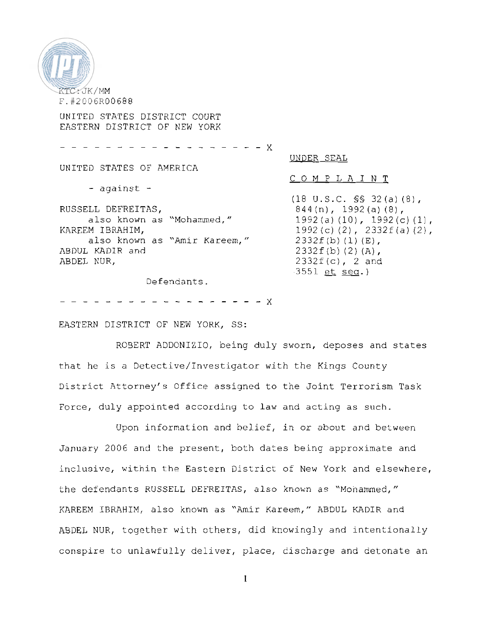

UNITED STATES DISTRICT COURT EASTERN DISTRICT OF NEW YORK

 $- - - - - X$ UNDER SEAL UNITED STATES OF AMERICA COMPLAINT - against - (18 U.S.C. §§ 32(a) (a),  $844(n)$ , 1992 $(a)$  (8), RUSSELL DEFREITAS, also known as "Mohammed," 1992 (a)  $(10)$ , 1992 (c)  $(1)$ , 1992 (c) (2),  $2332f(a)$  (2), KAREEM IBRAHIM, also known as "Amir Kareem,"  $2332f(b)$   $(1)$   $(E)$ , ABDUL KADIR and  $2332f(b)$  (2) (A), ABDEL NUR. 2332f(c), 2 and 3551 et sea.) Defendants

EASTERN DISTRICT OF NEW YORK, SS:

ROSERT ADDONIZIO, being duly sworn, deposes and states that he is a Detective/Investigator with the Kings County District Attorney's Office assigned to the Joint Terrorism Task Force, duly appointed according to law and acting as such.

Upon information and belief, in or about and between January 2006 and the present, both dates beinq approximate and inclusive, within the Eastern District of New York and elsewhere, the defendants RUSSELL DEFREITAS, also known as "Monammed," KAREEM IBRAHIM, also known as "Amir Kareem," ABDUL KADIR and ABDEL NUR, together with others, did knowingly and intentionally conspire to unlawfully deliver, place, discharge and detonate an

 $\mathbf{I}$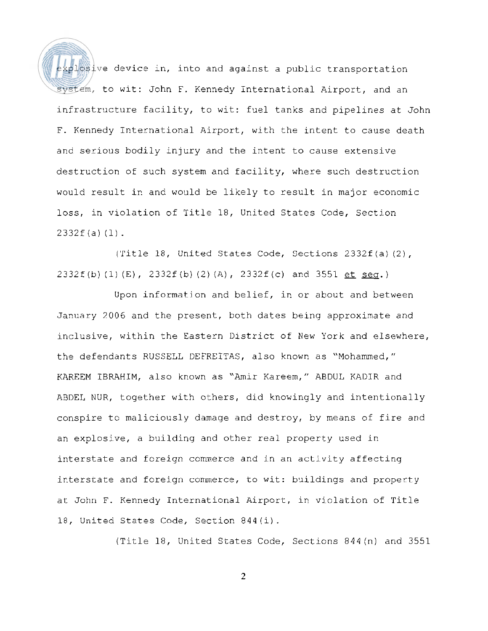$\frac{1}{2}$   $\frac{1}{2}$   $\frac{1}{2}$   $\frac{1}{2}$   $\frac{1}{2}$   $\frac{1}{2}$   $\frac{1}{2}$   $\frac{1}{2}$   $\frac{1}{2}$   $\frac{1}{2}$   $\frac{1}{2}$   $\frac{1}{2}$   $\frac{1}{2}$   $\frac{1}{2}$   $\frac{1}{2}$   $\frac{1}{2}$   $\frac{1}{2}$   $\frac{1}{2}$   $\frac{1}{2}$   $\frac{1}{2}$   $\frac{1}{2}$   $\frac{1}{2}$  system, to wit: John F. Kennedy International Airport, and an infrastructure facility, to wit: fuel tanks and pipelines at John F. Kennedy International Airport, with the intent to cause death and serious bodily injury and the intent to cause extensive destruction of such system and facility, where such destruction would result in and would be likely to result in major economic loss, in violation of Title 18, United States Code, Section 2332f (a) (1).

('ritle 18, United States Code, Sections 2332f (a) (2),  $2332f (b) (1) (E)$ ,  $2332f (b) (2) (A)$ ,  $2332f (c)$  and  $3551 et seq.$ 

Upon information and belief, in or about and between January 2006 and the present, both dates being approximate and inclusive, within the Eastern District of New York and elsewhere, the defendants RUSSELL DEFREITAS, also known as "Mohammed," KAREEM IBRAHIM, also known as "Amir Kareem," ABDUL KADIR and ABDEL NUR, together with others, did knowingly and intentionally conspire to maliciously damage and destroy, by means of fire and an explosive, a building and other real property used in interstate and foreign commerce and in an activity affecting interstate and foreign commerce, to wit: buildings and property at John F. Kennedy International Airport, in violation of Title 18, United States Code, Section 844(i).

(Title 18, United States Code, Sections 844 (n) and 3551

 $\overline{2}$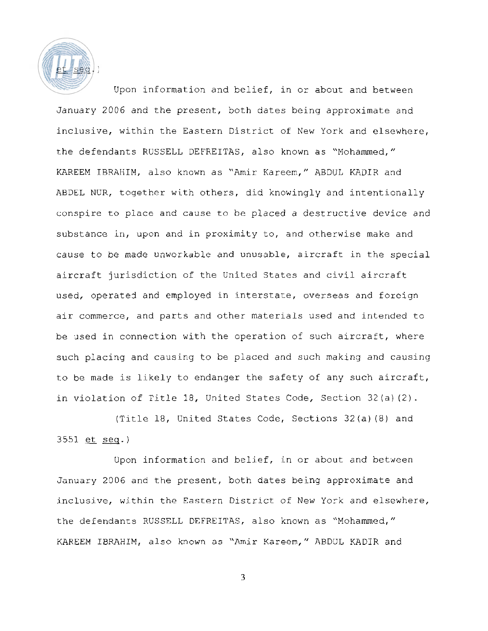

Upon information and belief, in or about and between January 2006 and the present, both dates being approximate and inclusive, within the Eastern District of New York and elsewhere, the defendants RUSSELL DEFREITAS, also known as "Mohammed," KAREEM IBRAHIM, also known as "Amir Kareem," ABDUL KADIR and ABDEL NUR, together with others, did knowingly and intentionally conspire to place and cause to be placed a destructive device and substance in, upon and in proximity to, and otherwise make and cause to be made unworkable and unusable, aircraft in the special aircraft jurisdiction of the United States and civil aircraft used, operated and employed in interstate, overseas and foreign air commerce, and parts and other materials used and intended to be used in connection with the operation of such aircraft, where such placing and causing to be placed and such making and causing to be made is likely to endanger the safety of any such aircraft, in violation of Title 18, United States Code, Section 32(a) (2).

(Title 18, United States Code, Sectlons 32(a) (8) and 3551 et seq.)

Upon information and belief, in or about and between January 2006 and the present, both dates being approximate and inclusive, within the Eastern District of New York and elsewhere, the defendants RUSSELL DEFREITAS, also known as "Mohammed," KAREEM IBRAHIM, also known as "Amir Kareem," ABD'JL KADIR and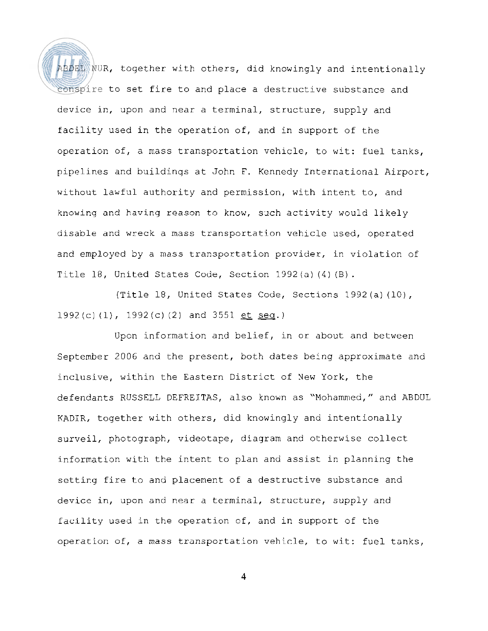ABDEL NUR, together with others, did knowingly and intentionally conspire to set fire to and place a destructive substance and device in, upon and near a terminal, structure, supply and facility used in the operation of, and in support of the operation of, a mass transportation vehicle, to wit: fuel tanks, pipelines and buildinqs at John F. Kennedy International Airport, without lawful authority and permission, with intent to, and knowing and having reason to know, sxch activity would likely disable and wreck a mass transportation vehicle used, operated and employed by a mass transportation provider, in violation of Title 18, United States Code, Section 1992 (a) (4) (8).

(Title 18, United States Code, Sections 1992(a)(10), 1992 (c) (l), 1992 (c) (2) and 3551 et seq.)

Upon information and belief, in or about and between September 2006 and the present, both dates being approximate and inclusive, within the Eastern District of New York, the defendants RUSSELL DEFREITAS, also known as "Mohammed," and ABDUL KADIR, together with others, did knowingly and intentionally surveil, photograph, videotape, diagram and otherwise collect infornation with the intent to plan and assist in planning the setting fire to and placement of a destructive substance and device in, upon and near a terminal, structure, supply and facility used in the operation of, and in support of the operation of, a mass transportation vehicle, to wit: fuel tanks,

 $\overline{\mathbf{4}}$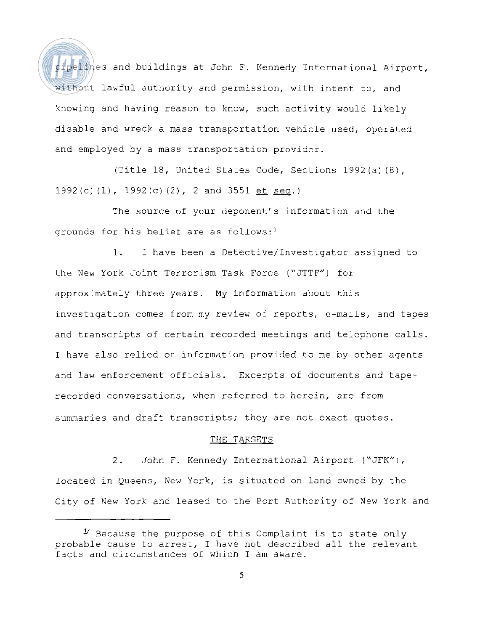pipelines and buildings at John F. Kennedy International Airport, without lawful authority and permission, with intent to, and knowing and having reason to know, such activity would likely disable and wreck a mass transportation vehicle used, operated and employed by a mass transportation provider.

(Title 18, United States Code, Sections 1992 (a) (8), 1992 (c) (1),  $1992(c)$  (2), 2 and 3551 et seq.)

The source of your deponent's information and the grounds for his belief are as follows:<sup>1</sup>

1. I have been a Detective/Investigator assigned to the New York Joint Terrorism Task Force ("JTTF") for approximately three years. My information about this investiqation comes from my review of reports, e-mails, and tapes and transcripts of certain recorded meetings and telephone calls. I have also relied on information provided to me by other agents and law enforcement officials. Excerpts of documents and taperecorded conversations, when referred to herein, are from summaries and draft transcripts; they are not exact quotes.

## THE TARGETS

2. John F. Kennedy International Airport ("JFK") , located in Queens, New York, is situated on land owned by the City of New York and leased to the Port Authority of New York and

 $\mathcal I$  Because the purpose of this Complaint is to state only probable cause to arrest, I have not described all the relevant facts and circumstances of which I am aware.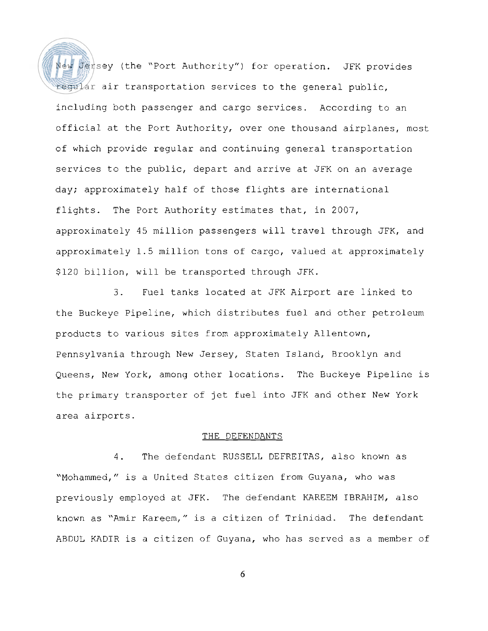New Jersey (the "Port Authority") for operation. JFK provides regular air transportation services to the general public, including both passenger and cargo services. According to an official at the Port Authority, over one thousand airplanes, most of which provide regular and continuing general transportation services to the public, depart and arrive at JFK on an average day; approximately half of those flights are international flights. The Port Authority estimates that, in 2007, approximately 45 million passengers will travel through JFK, and approximately 1.5 million tons of cargo, valued at approximately \$120 billion, will be transported through JFK.

3. Fuel tanks located at JFK Airport are linked to the Buckeye Pipeline, which distributes fuel and other petroleum products to various sites from approximately Allentown, Pennsylvania through New Jersey, Staten Island, Brooklyn and Queens, New York, among other locations. The Buckeye Pipeline is the primary transporter of jet fuel into JFK and other New York area airports.

## THE DEFENDANTS

4. The defendant RUSSELL DEFREITAS, also known as "Mohammed," is a United States citizen from Guyana, who was previously employed at JFK. The defendant KAREEM IBRAHIM, also known as "Amir Kareem," is a citizen of Trinidad. The defendant ABDUL KADIR is a citizen of Guyana, who has served as a member of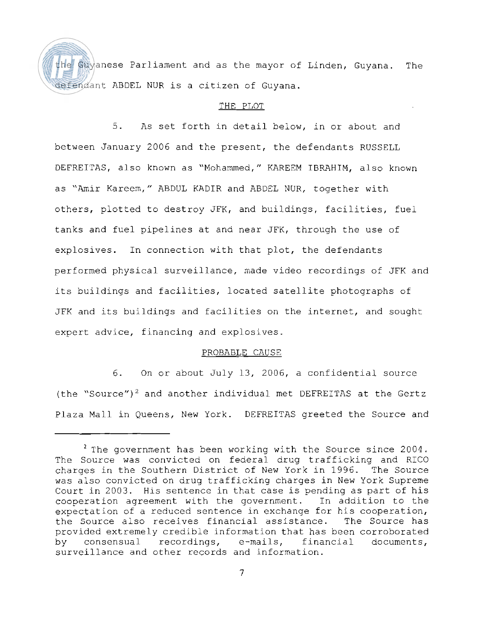the Guyanese Parliament and as the mayor of Linden, Guyana. The defendant ABDEL NUR is a citizen of Guyana.

## THE PLOT

5. As set forth in detail below, in or about and between January 2006 and the present, the defendants RUSSELL DEFREITAS, also known as "Mohammed," KAREEM IBRAHIM, also known as "Amir Kareem," ABDUL KADIR and ABDEL NUR, together with others, plotted to destroy JFK, and buildings, facilities, fuel tanks and fuel pipelines at and near JFK, through the use of explosives. In connection with that plot, the defendants performed physical surveillance, made video recordings of JFK and its buildings and facilities, located satellite photographs of JFK and its buildings and facilities on the internet, and sought expert advice, financing and explosives.

## PROBABLE CAUSE

6. On or about July 13, 2006, a confidential source (the "Source")<sup>2</sup> and another individual met DEFREITAS at the Gertz Plaza Mall in Queens, New York. DEFREITAS greeted the Source and

 $2$  The government has been working with the Source since 2004. The Source was convicted on federal drug trafficking and RICO charges in the Southern District of New York in 1996. The Source was also convicted on drug trafficking charges in New York Supreme Court in 2003. His sentence in that case is pending as part of his cooperation agreement with the government. In addition to the expectation of a reduced sentence in exchange for his cooperation,<br>the Source also receives financial assistance. The Source has the Source also receives financial assistance. provided extremely credible information that has been corroborated by consensual recordings, e-mails, financial documents, surveillance and other records and information.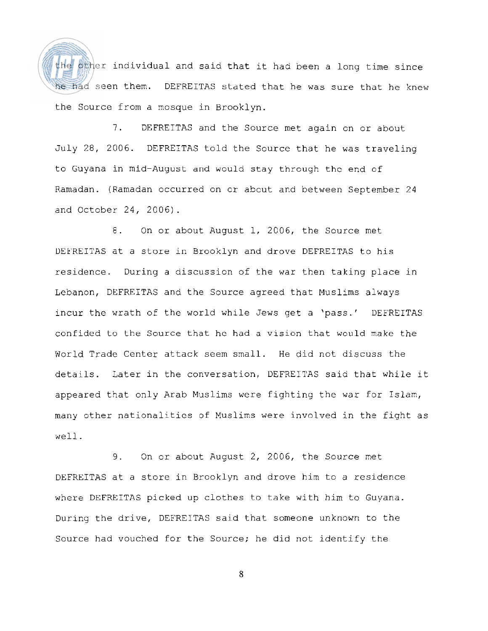the other individual and said that it had been a long time since he had seen them. DEFREITAS stated that he was sure that he knew the Source from a mosque in Brooklyn.

7. DEFREITAS and the Source met again cn or about July 28, 2006. DEFREITAS told the Source that he was traveling to Guyana in mid-August and would stay through thc end of Ramadan. (Ramadan occurred on cr about and between September 24 and October 24, 2006).

8. On or about August 1, 2006, the Source met UEFREITAS at a store in Brooklyn and drove DEFREITAS to his residence. During a discussion of the war then taking place in Lebanon, DEFREITAS and the Source agreed that Muslims always incur the wrath of the world while Jews get a 'pass.' DEFREITAS confided to the Source that he had a vision that would make the World Trade Center attack seem small. He did not discuss the details. Later in the conversation, DEFREITAS said that while it appeared that only Arab Muslims were fighting the war for Islam, many other nationalities of Muslims were involved in the fight as well.

9. On or about August 2, 2006, the Source met DEFREITAS at a store in Brooklyn and drove him to a residence where DEFREITAS picked up clothes to take with him to Guyana. During the drive, DEFREITAS said that someone unknown to the Source had vouched for the Source; he did not identify the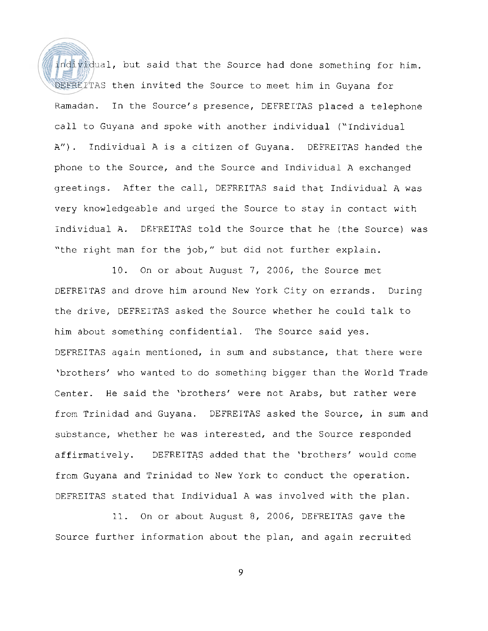individual, but said that the Source had done something for him. DEFREITAS then invited the Source to meet him in Guyana for Ramadan. In the Source's presence, DEFREITAS placed a telephone call to Guyana and spoke with another individual ("Individual A"). Individual A is a citizen of Guyana. DEFREITAS handed the phone to the Source, and the Source and Individual A exchanged greetings. After the call, DEFREITAS said that Individual A was very knowledgeable and urged the Source to stay in contact with Individual A. DEFREITAS told the Source that he (the Source) was "the right man for the job," but did not further explain.

10. On or about August 7, 2006, the Source met DEFRElTAS and drove him around New York City on errands. During the drive, DEFREITAS asked the Source whether he could talk to him about something confidential. The Source said yes. DEFREITAS again mentioned, in sum and substance, that there were 'brothers' who wanted to do something bigger than the World Trade Center. He said the 'brothers' were not Arabs, but rather were from Trinidad and Guyana. DEFREITAS asked the Source, in sum and substance, whether he was interested, and the Source responded affirmatively. DEFREITAS added that the 'brothers' would come from Guyana and Trinidad to New York to conduct the operation. DEFREITAS stated that Individual A was involved with the plan.

11. On or about August 8, 2006, DEFREITAS gave the Source further information about the plan, and again recruited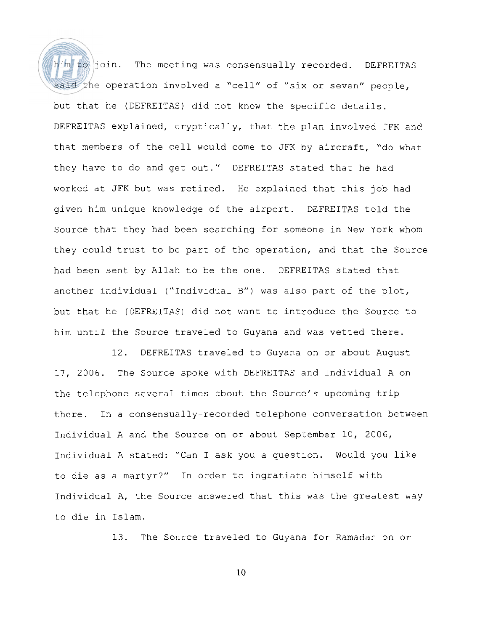him to join. The meeting was consensually recorded. DEFREITAS said the operation involved a "cell" of "six or seven" people, but that he (DEFREITAS) did not know the specific details. DEFREITAS explained, cryptically, that the plan involved JFK and that members of the cell would come to JFK by aircraft, "do what they have to do and get out." DEFREITAS stated that he had worked at JFK but was retired. He explained that this job had given him unique knowledge of the airport. DEFREITAS told the Source that they had been searching for someone in New York whom they could trust to be part of the operation, and that the Source had been sent by Allah to be the one. DEFREITAS stated that another individual ("Individual B") was also part of the plot, but that he (DEFREITAS) did not want to introduce the Source to him until the Source traveled to Guyana and was vetted there.

12. DEFREITAS traveled to Guyana on or about August 17, 2006. The Source spoke with DEFREITAS and Individual A on the telephone several times about the Source's upcoming trip there. In a consensually-recorded telephone conversation between Individual A and the Source on or about September 10, 2006, Individual A stated: "Can I ask you a question. Would you like to die as a martyr?" In order to ingratiate himself with Individual A, the Source answered that this was the greatest way to die in Islam.

13. The Source traveled to Guyana for Ramadan on or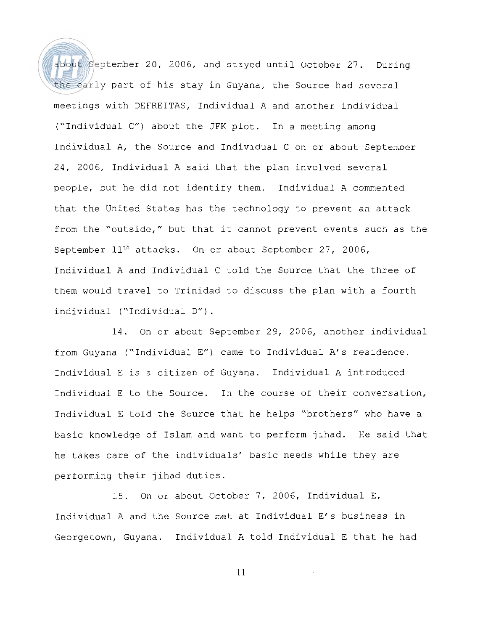about September 20, 2006, and stayed until October 27. During the early part of his stay in Guyana, the Source had several meetings with DEFREITAS, Individual A and another individual ("Individual C") about the JFK plot. In a meeting among Individual A, the Source and Individual C on or about September 24, 2006, Individual A said that the plan involved several people, but he did not identify them. Individual A commented that the United States has the technology to prevent an attack from the "outside," but that it cannot prevent events such as the September  $11<sup>th</sup>$  attacks. On or about September 27, 2006, Individual A and Individual C told the Source that the three of them would travel to Trinidad to discuss the plan with a fourth individual ("Individual D") .

14. On or about September 29, 2006, another individual from Guyana ("Individual E") came to Individual A's residence. Individual E is a citizen of Guyana. Individual A introduced Individual E to the Source. In the course of their conversation, Individual E told the Source that he helps "brothers" who have a basic knowledge of Islam and want to perform jihad. He said that he takes care of the individuals' basic needs while they are performing their jihad duties.

15. On or about October 7, 2006, Individual E, Individual A and the Source met at Individual E's business in Georgetown, Guyana. Individual A told Individual E that he had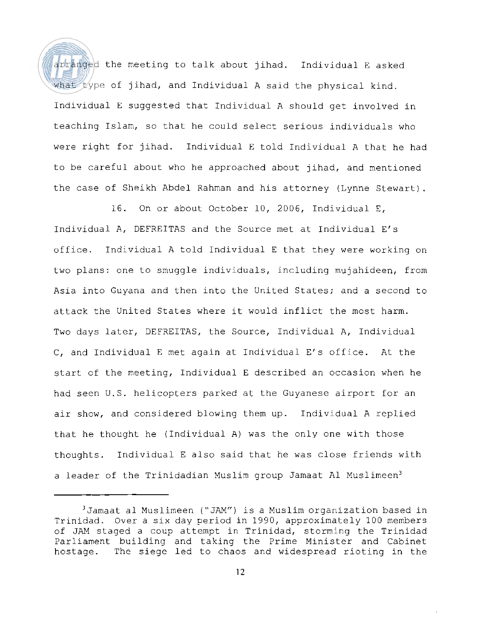arranged the meeting to talk about jihad. Individual E asked what type of jihad, and Individual A said the physical kind. Individual E suggested that Individual A should get involved in teaching Islam, so that he could select serious individuals who were right for jihad. Individual E told Individual A that he had to be careful about who he approached about jihad, and mentioned the case of Sheikh Abdel Rahman and his attorney (Lynne Stewart).

16. On or about October 10, 2006, Individual E, Individual A, DEFREITAS and the Source met at Individual E's office. Individual A told Individual E that they were working on two plans: one to smuggle individuals, including mujahideen, from Asia into Guyana and then into the United States; and a second to attack the United States where it would inflict the most harm. Two days later, DEFREITAS, the Source, Individual A, Individual C, and Individual E met again at Individual E's office. At the start of the meeting, Individual E described an occasion when he had seen U.S. helicopters parked at the Guyanese airport for an air show, and considered blowing them up. Individual A replied that he thought he (Individual A) was the only one with those thoughts. Individual E also said that he was close friends with a leader of the Trinidadian Muslim group Jamaat Al Muslimeen<sup>3</sup>

 $3$ Jamaat al Muslimeen ("JAM") is a Muslim organization based in Trinidad. Over a six day period in 1990, approximately 100 members of JAM staged a coup attempt in Trinidad, storming the Trinidad Parliament building and taking the Prime Minister and Cabinet hostage. The siege led to chaos and widespread rioting in the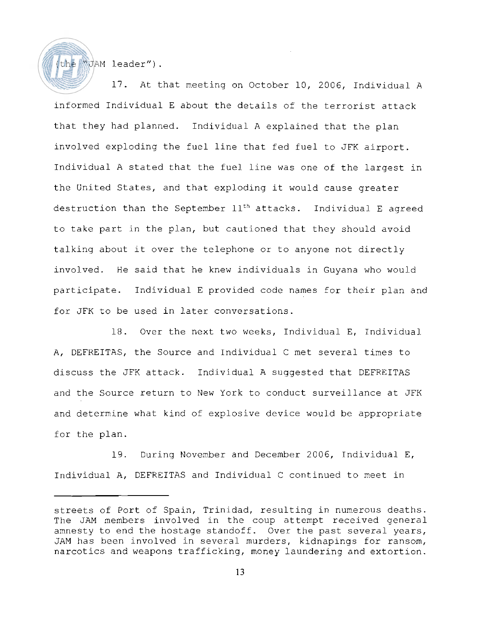the WJAM leader").

17. At that meeting on October 10, 2006, Individual A informed Individual E about the details of the terrorist attack that they had planned. Individual A explained that the plan involved exploding the fuel line that fed fuel to JFK airport. Individual A stated that the fuel line was one of the largest in the United States, and that exploding it would cause greater destruction than the September 11<sup>th</sup> attacks. Individual E agreed to take part in the plan, but cautioned that they should avoid talking about it over the telephone or to anyone not directly involved. He said that he knew individuals in Guyana who would participate. Individual E provided code names for their plan and for JFK to be used in later conversations.

18. Over the next two weeks, Individual E, Individual A, DEFREITAS, the Source and Individual C met several times to discuss the JFK attack. Individual A suggested that DEFREITAS and the Source return to New York to conduct surveillance at JFK and determine what kind of explosive device would be appropriate for the plan.

19. During November and December 2006, Individual E, Individual A, DEFREITAS and Individual C continued to meet in

streets of Port of Spain, Trinidad, resulting in numerous deaths. The JAM members involved in the coup attempt received general amnesty to end the hostage standoff. Over the past several years, JAM has been involved in several murders, kidnapings for ransom, narcotics and weapons trafficking, money laundering and extortion.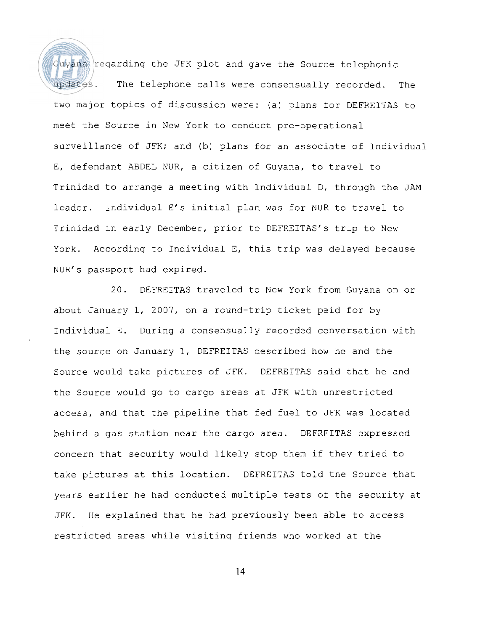Guyana regarding the JFK plot and gave the Source telephonic updates. The telephone calls were consensually recorded. The two major topics of discussion were: (a) plans for DEFKEITAS to meet the Source in New York to conduct pre-operational surveillance of JFK; and (b) plans for an associate of Individual E, defendant ABDEL NUR, a citizen of Guyana, to travel to Trinidad to arrange a meeting with Individual D, through the JAM leader. Individual E's initial plan was for NUR to travel to Trinidad in early December, prior to DEFREITAS's trip to New York. According to Individual E, this trip was delayed because NUR's passport had expired.

20. DEFREITAS traveled to New York from Guyana on or about January 1, 2007, on a round-trip ticket paid for by Individual E. During a consensually recorded conversation with the source on January 1, DEFREITAS described how he and the Source would take pictures of JFK. DEFREITAS said that he and the Source would go to cargo areas at JFK with unrestricted access, and that the pipeline that fed fuel to JFK was located behind a gas station near the cargo area. DEFREITAS expressed concern that security would likely stop them if they tried to take pictures at this location. DEFREITAS told the Source that years earlier he had conducted multiple tests of the security at JFK. He explained that he had previously been able to access restricted areas while visiting friends who worked at the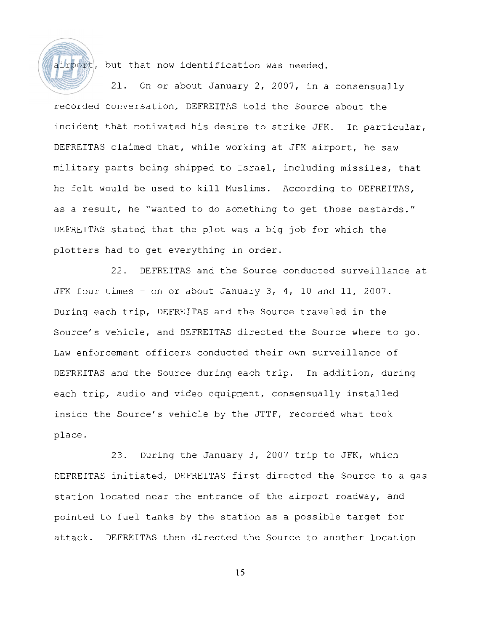

airport, but that now identification was needed.

21. On or about January 2, 2007, in a consensually recorded conversation, DEFREITAS told the Source about the incident that motivated his desire to strike JFK. In particular, DEFREITAS claimed that, while working at JFK airport, he saw military parts being shipped to Israel, including missiles, that he felt would be used to kill Muslims. According to DEFREITAS, as a result, he "wanted to do something to get those bastards." DEFREITAS stated that the plot was a big job for which the plotters had to get everything in order.

22. DEFREITAS and the Source conducted surveillance at JFK four times - on or about January 3, 4, 10 and 11, 2007. During each trip, DEFREITAS and the Source traveled in the Source's vehicle, and DEFREITAS directed the Source where to go. Law enforcement officers conducted their own surveillance of DEFREITAS and the Source during each trip. In addition, during each trip, audio and video equipment, consensually installed inside the Source's vehicle by the JTTF, recorded what took place.

23. During the January 3, 2007 trip to JFK, which DEFREITAS initiated, DEFREITAS first directed the Source to a gas station located near the entrance of the airport roadway, and pointed to fuel tanks by the station as a possible target for attack. DEFREITAS then directed the Source to another location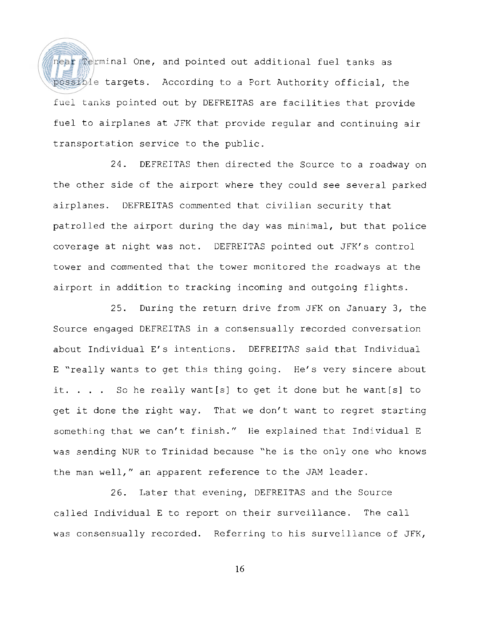near Terminal One, and pointed out additional fuel tanks as possible targets. According to a Port Authority official, the fuel tanks pointed out by DEFREITAS are facilities that provide fuel to airplanes at JFK that provide regular and continuing air transportation service to the public.

24. DEFREITAS then directed the Source to a roadway on the other side of the airport where they could see several parked airplanes. DEFREITAS commented that civilian security that patrolled the airport during the day was minimal, but that police coverage at night was not. DEFREITAS pointed out JFK's control tower and commented that the tower monitored the roadways at the airport in addition to tracking incoming and outgoing flights.

25. During the return drive from JFK on January 3, the Source engaged DEFREITAS in a consensually recorded conversation about Individual E's intentions. DEFREITAS said that Individual E "really wants to get this thing going. He's very sincere about it. . . . So he really want[s] to get it done but he want[s] to get it done the right way. That we don't want to regret starting something that we can't finish." He explained that Individual E was sending NUR to Trinidad because "he is the only one who knows the man well," an apparent reference to the JAM leader.

26. Later that evening, DEFREITAS and the Source called Individual E to report on their surveillance. The call was consensually recorded. Referring to his surveillance of JFK,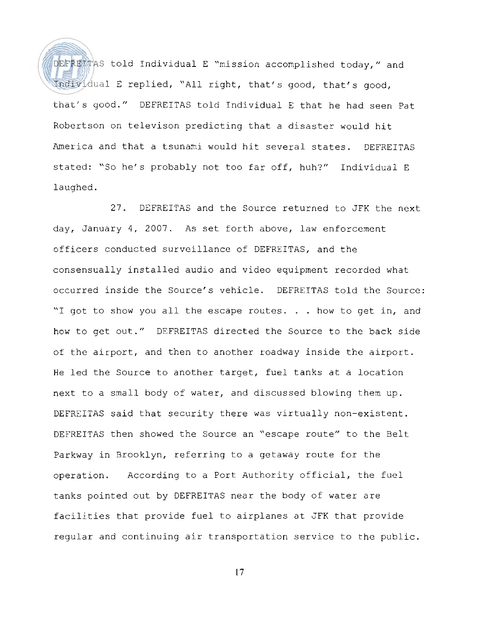DEFREITAS told Individual E "mission accomplished today," and Individual E replied, "All right, that's good, that's good, that's good." DEFREITAS told Individual E that he had seen Pat Robertson on televison predicting that a disaster would hit America and that a tsunami would hit several states. DEFREITAS stated: "So he's probably not too far off, huh?" Individual E laughed.

27. DEFREITAS and the Source returned to JFK the next day, January 4, 2007. As set forth above, law enforcement officers conducted surveillance of DEFREITAS, and the consensually installed audio and video equipment recorded what occurred inside the Source's vehicle. DEFREITAS told the Source: "I got to show you all the escape routes. . . how to get in, and how to get out." DEFREITAS directed the Source to the back side of the airport, and then to another roadway inside the airport. He led the Source to another target, fuel tanks at a location next to a small body of water, and discussed blowing them up. DEFREITAS said that security there was virtually non-existent. DEFREITAS then showed the Source an "escape route" to the Belt Parkway in Brooklyn, referring to a getaway route for the operation. According to a Port Authority official, the fuel tanks pointed out by DEFREITAS near the body of water are facilities that provide fuel to airplanes at JFK that provide regular and continuing air transportation service to the public.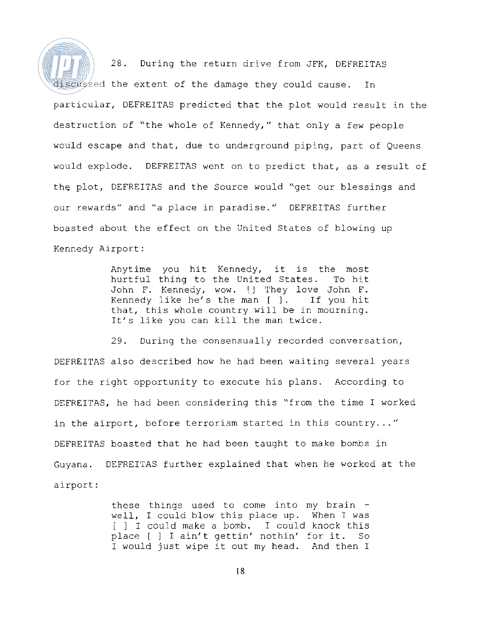28. During the return drive from JFK, DEFREITAS discussed the extent of the damage they could cause. In particular, DEFREITAS predicted that the plot would result in the destruction of "the whole of Kennedy," that only a few people would escape and that, due to underground piping, part of Queens would explode. DEFREITAS went on to predict that, as a result of the plot, DEFREITAS and the Source would "get our blessings and our rewards" and "a place in paradise." DEFREITAS further boasted about the effect on the United States of blowing up Kennedy Airport:

> Anytime you hit Kennedy, it is the most hurtful thing to the United States. To hit John F. Kennedy, wow. I] They love John F. Kennedy like he's the man [ 1. If you hit that, this whole country will be in mourning. It's like you can kill the man twice.

29. During the consensually recorded conversation, DEFREITAS also described how he had been waiting several years for the right opportunity to execute his plans. According to DEFREITAS, he had been considering this "from the time I worked in the airport, before terrorism started in this country..." DEFREITAS boasted that he had been taught to make bombs in Guyana. DEFREITAS further explained that when he worked at the airport :

> these things used to come into my brain well, I could blow this place up. When I was [ ] I could make a bomb. I could knock this place [ ] I ain't gettin' nothin' for it. So I would just wipe it out my head. And then I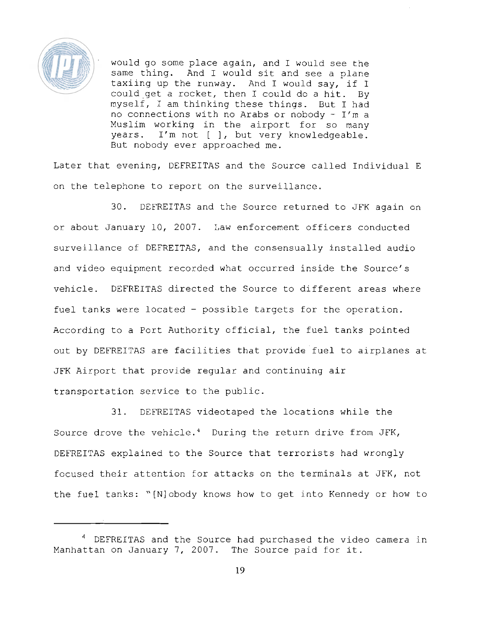

would go some place again, and I would see the same thing. And I would sit and see a plane taxiing up the runway. And I would say, if I could get a rocket, then I could do a hit. By myself, I am thinking these things. But I had no connections with no Arabs or nobody  $-1'm$  a Muslim working in the airport for so many years. I'm not [ ], but very knowledgeable. But nobody ever approached me.

Later that evening, DEFREITAS and the Source called Individual E on the telephone to report on the surveillance.

30. DEFREITAS and the Source returned to JFK again on or about January 10, 2007. Law enforcement officers conducted surveillance of DEFREITAS, and the consensually installed audio and video equipment recorded what occurred inside the Source's vehicle. DEFREITAS directed the Source to different areas where fuel tanks were located - possible targets for the operation. According to a Port Authority official, the fuel tanks pointed out by DEFREITAS are facilities that provide fuel to airplanes at JFK Airport that provide regular and continuing air transportation service to the public.

31. DEFREITAS videotaped the locations while the Source drove the vehicle. $4$  During the return drive from JFK, DEFREITAS explained to the Source that terrorists had wrongly focused their attention for attacks on the terminals at JFK, not the fuel tanks: "[Nlobody knows how to get into Kennedy or how to

<sup>&</sup>lt;sup>4</sup> DEFREITAS and the Source had purchased the video camera in Manhattan on January 7, 2007. The Source paid for it.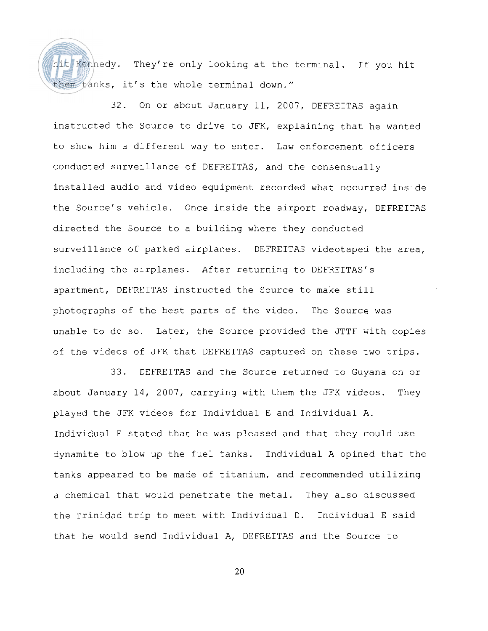hit Kennedy. They're only looking at the terminal. If you hit them tanks, it's the whole terminal down."

32. On or about January 11, 2007, DEFREITAS again instructed the Source to drive to JFK, explaining that he wanted to show him a different way to enter. Law enforcement officers conducted surveillance of DEFREITAS, and the consensually installed audio and video equipment recorded what occurred inside the Source's vehicle. Once inside the airport roadway, DEFREITAS directed the Source to a building where they conducted surveillance of parked airplanes. DEFREITAS videotaped the area, including the airplanes. After returning to DEFREITAS's apartment, DEFREITAS instructed the Source to make still photographs of the best parts of the video. The Source was unable to do so. Later, the Source provided the JTTF with copies of the videos of JFK that DEFREITAS captured on these two trips.

33. DEFREITAS and the Source returned to Guyana on or about January 14, 2007, carrying with them the JFK videos. They played the JFK videos for Individual E and Individual A. Individual E stated that he was pleased and that they could use dynamite to blow up the fuel tanks. Individual A opined that the tanks appeared to be made of titanium, and recommended utilizing a chemical that would penetrate the metal. They also discussed the Trinidad trip to meet with Individual D. Individual E said that he would send Individual A, DEFREITAS and the Source to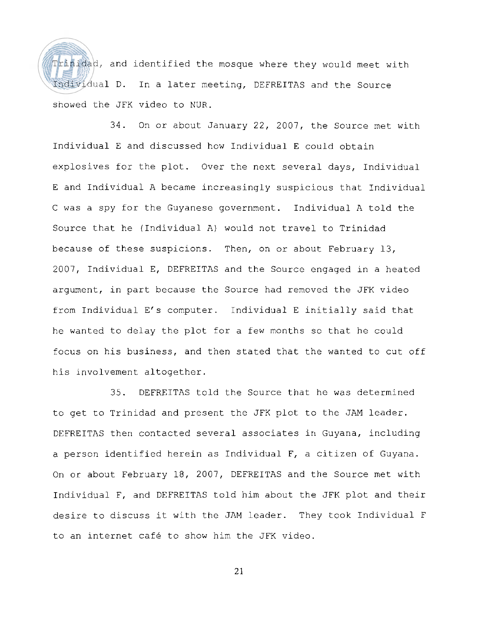Trinidad, and identified the mosque where they would meet with Individual D. In a later meeting, DEFREITAS and the Source showed the JFK video to NUR.

34. On or about January 22, 2007, the Source met with Individual E and discussed how Individual E could obtain explosives for the plot. Over the next several days, Individual E and Individual A became increasingly suspicious that Individual C was a spy for the Guyanese government. Individual A told the Source that he (Individual A) would not travel to Trinidad because of these suspicions. Then, on or about February 13, 2007, Individual E, DEFREITAS and the Source engaged in a heated argument, in part because the Source had removed the JFK video from Individual E's computer. Individual E initially said that he wanted to delay the plot for a few months so that he could focus on his business, and then stated that the wanted to cut off his involvement altogether.

35. DEFREITAS told the Source that he was determined to get to Trinidad and present the JFK plot to the JAM leader. DEFREITAS then contacted several associates in Guyana, including a person identified herein as Individual F, a citizen of Guyana. On or about February 18, 2007, DEFREITAS and the Source met with Individual F, and DEFREITAS told him about the JFK plot and their desire to discuss it with the JAM leader. They took Individual F to an internet cafe to show him the JFK video.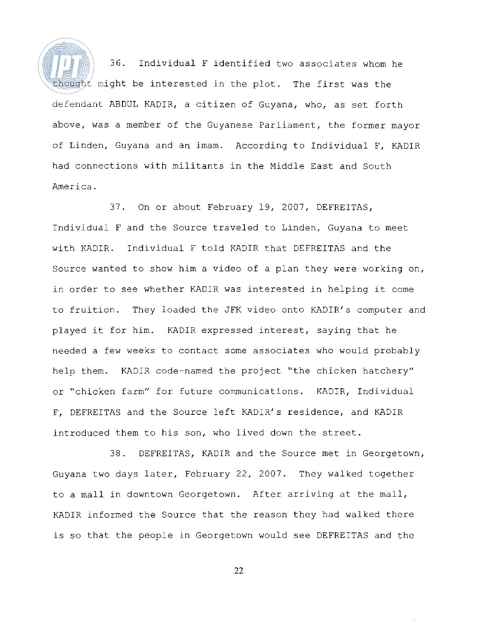36. Individual F identified two associates whom he thought might be interested in the plot. The first was the defendant ABDUL KADIR, a citizen of Guyana, who, as set forth above, was a member of the Guyanese Parliament, the former mayor of Linden, Guyana and an imam. According to Individual F, KADIR had connections with militants in the Middle East and South America.

37. On or about February 19, 2007, DEFREITAS, Individual F and the Source traveled to Linden, Guyana to meet with KADIR. Individual F told KADIR that DEFREITAS and the Source wanted to show him a video of a plan they were working on, in order to see whether KADIR was interested in helping it come to fruition. They loaded the JFK video onto KADIR's computer and played it for him. KADIR expressed interest, saying that he needed a few weeks to contact some associates who would probably help them. KADIR code-named the project "the chicken hatchery" or "chicken farm" for future communications. KADIR, Individual F, DEFREITAS and the Source left KADIR's residence, and KADIR introduced them to his son, who lived down the street.

38. DEFREITAS, KADIR and the Source met in Georgetown, Guyana two days later, February 22, 2007. They walked together to a mall in downtown Georgetown. After arriving at the mall, KADIR informed the Source that the reason they had walked there is so that the people in Georgetown would see DEFREITAS and the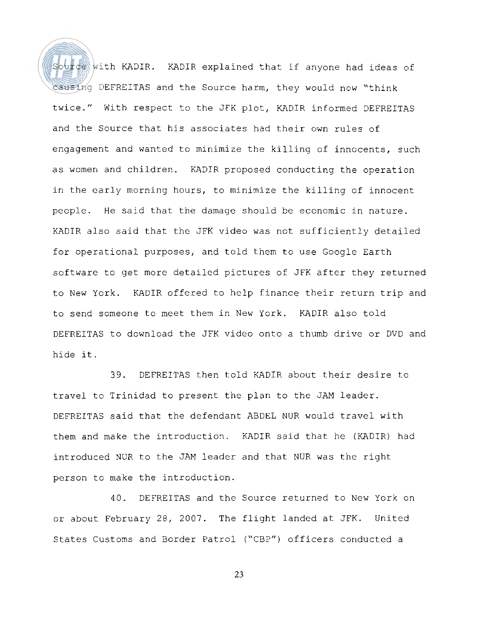Source with KADIR. KADIR explained that if anyone had ideas of causing DEFREITAS and the Source harm, they would now "think twice." With respect to the JFK plot, KADIR informed DEFREITAS and the Source that his associates had their own rules of engagement and wanted to minimize the killing of innocents, such as women and children. KADIR proposed conducting the operation in the early morning hours, to minimize the killing of innocent people. He said that the damage should be economic in nature. KADIR also said that the JFK video was not sufficiently detailed for operational purposes, and told them to use Google Earth software to get more detailed pictures of JFK after they returned to New York. KADIR offered to help finance their return trip and to send someone to meet them in New York. KADIR also told DEFREITAS to download the JFK video onto a thumb drive or DVD and hide it.

39. DEFREITAS then told KADIR about their desire to travel to Trinidad to present the plan to the JAM leader. DEFREITAS said that the defendant ABDEL NUR would travel with them and make the introduction. KADIR said that he (KADIR) had introduced NUR to the JAM leader and that NUR was the right person to make the introduction.

40. DEFREITAS and the Source returned to New York on or about February 28, 2007. The flight landed at JFK. United States Customs and Border Patrol ("CBP") officers conducted a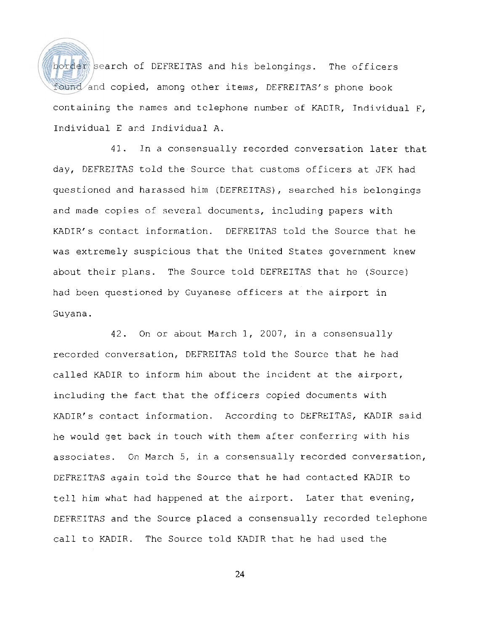border search of DEFREITAS and his belongings. The officers found and copied, among other items, DEFREITAS's phone book containing the names and tclephone number of KADIR, Individual F, Individual E ard Individual A.

41. In a consensually recorded conversation later that day, DEFREITAS told the Source that customs officers at JFK had questioned and harassed him (DEFREITAS), searched his belongings and made copies of several documents, including papers with KADIR's contact information. DEFREITAS told the Source that he was extremely suspicious that the United States government knew about their plans. The Source told DEFREITAS that he (Source) had been questioned by Guyanese officers at the airport in Guyana.

42. On or about March 1, 2007, in a consensually recorded conversation, DEFREITAS told the Source that he had called KADIR to inform him about the incident at the airport, including the fact that the officers copied documents with KADIR's contact information. According to DEFREITAS, KADIR said he would get back in touch with them after conferring with his associates. On March 5, in a corsensually recorded conversation, DEFREITAS again told the Source that he had contacted KADIR to tell him what had happened at the airport. Later that evening, DEFREITAS and the Source placed a consensually recorded telephone call to KADIR. The Source told KADIR that he had used the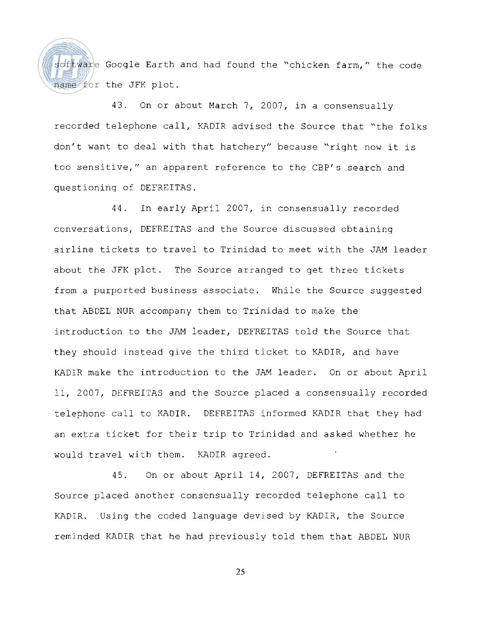

software Google Earth and had found the "chicken farm," the code name for the JFK plot.

43. On or about March 7, 2007, in a consensually recorded telephone call, KADIR advised the Source that "the folks don't want to deal with that hatchery" because "right now it is too sensitive," an apparent reference to the CBP's search and questioning of DEFREITAS.

44. In early April 2007, in consensually recorded conversations, DEFREITAS and the Source discussed obtaining airline tickets to travel to Trinidad to meet with the JAM leader about the JFK plot. The Source arranged to get three tickets from a purported business associate. While the Source suggested that ABDEL NUR accompany them to Trinidad to make the introduction to the JAM leader, DEFREITAS told the Source that they should instead give the third ticket to KADIR, and have KADIR make the introduction to the JAM leader. On or about April 11, 2007, DEFREITAS and the Source placed a consensually recorded telephone call to KADIR. DEFREITAS informed KADIR that they had an extra ticket for their trip to Trinidad and asked whether he would travel with them. KADIR agreed.

45. On or about April i4, 2007, DEFREITAS and the Source placed another consensually recorded telephone call to KADIR. Using the coded language devised by KADIR, the Source reminded KADIR that he had previously told them that ABDEL NUR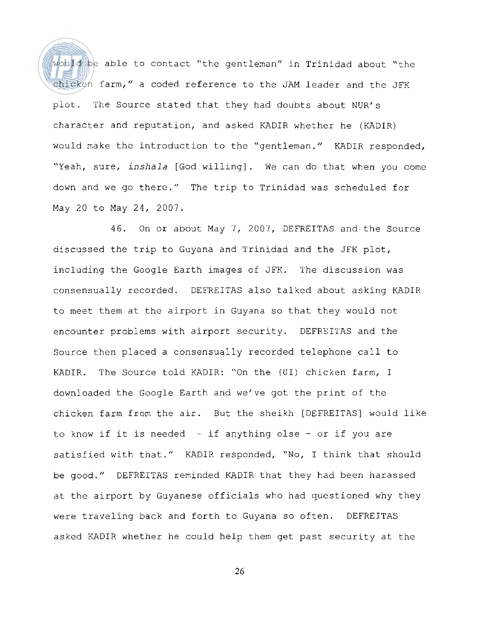would be able to contact "the gentleman" in Trinidad about "the chicken farm," a coded reference to the JAM leader and the JFK plot. The Source stated that they had doubts about NUR's character and reputation, and asked KADIR whether he (KADIR) would make the introduction to the "gentleman." KADIR responded, "Yeah, sure, inshala [God willing]. We can do that when you come down and we go there." The trip to Trinidad was scheduled for May 20 to May 24, 2007.

46. On or about May 7, 2007, DEFREITAS and the Source discussed the trip to Guyana and Trinidad and the JFK plot, including the Google Earth images of JFK. The discussion was consensually recorded. DEFREITAS also talked about asking KADIR to meet them at the airport in Guyana so that they would not encounter problems with airport security. DEFREITAS and the Source then placed a consensually recorded telephone call to KADIR. The Source told KADIR: "On the (UI) chicken farm, I downloaded the Google Earth and we've got the print of the chicken farm from the air. But the sheikh [DEFREITAS] would like to know if it is needed - if anything else - or if you are satisfied with that." KADIR responded, "No, I think that should be good." DEFREITAS reminded KADIR that they had been harassed at the airport by Guyanese officials who had questioned why they were traveling back and forth to Guyana so often. DEFREITAS asked KADIR whether he could help them get past security at the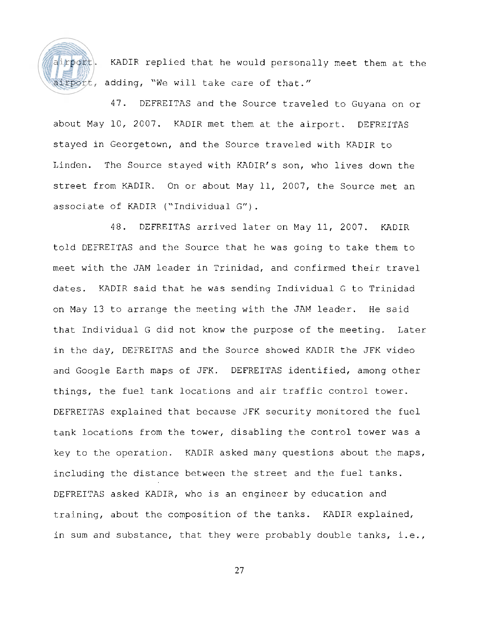

airport. KADIR replied that he would personally meet them at the irport, adding, "We will take care of that."

47. DEFREITAS and the Source traveled to Guyana on or about May 10, 2007. KADIR met them at the airport. DEFREITAS stayed in Georgetown, and the Source traveled with KADIR to Linden. The Source stayed with KADIR's son, who lives down the street from KADIR. On or about May 11, 2007, the Source met an associate of KADIR ("Individual G").

48. DEFREITAS arrived later on May 11, 2007. KADIR told DEFREITAS and the Source that he was going to take them to meet with the JAM leader in Trinidad, and confirmed their travel dates. KADIR said that he was sending Individual G to Trinidad on May 13 to arrange the meeting with the JAM leader. He said that Individual G did not know the purpose of the meeting. Later in the day, DEFREITAS and the Source showed KADIR the JFK video and Google Earth maps of JFK. DEFREITAS identified, among other things, the fuel tank locations and air traffic control tower. DEFREITAS explained that because JFK security monitored the fuel tank locations from the tower, disabling the control tower was a key to the operation. KADIR asked many questions about the maps, including the distance between the street and the fuel tanks. DEFREITAS asked KADIR, who is an engineer by education and training, about the composition of the tanks. KADIR explained, in sum and substance, that they were probably double tanks, i.e.,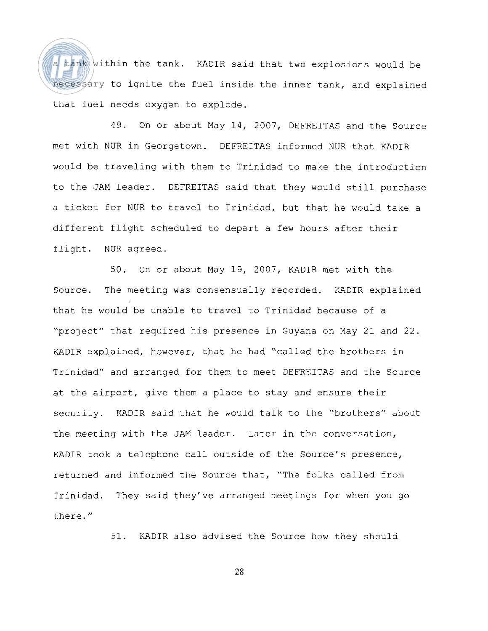a tank within the tank. KADIR said that two explosions would be necessary to ignite the fuel inside the inner tank, and explained that fuel needs oxygen to explode.

49. On or about May 14, 2007, DEFREITAS and the Source met with NUR in Georgetown. DEFREITAS informed NUR that KADIR would be traveling with them to Trinidad to make the introduction to the JAM leader. DEFREITAS said that they would still purchase a ticket for NUR to travel to Trinidad, but that he would take a different flight scheduled to depart a few hours after their flight. NUR agreed.

50. On or about May 19, 2007, KADIR met with the Source. The meeting was consensually recorded. KADIR explained that he would be unable to travel to Trinidad because of a "project" that required his presence in Guyana on May 21 and 22. KADIR explained, however, that he had "called the brothers in Trinidad" and arranged for them to meet DEFREITAS and the Source at the airport, give them a place to stay and ensure their security. KADIR said that he would talk to the "brothers" about the meeting with the JAM leader. Later in the conversation, KADIR took a telephone call outside of the Source's presence, returned and informed the Source that, "The folks called from Trinidad. They said they've arranged meetings for when you go there. "

51. KADIR also advised the Source how they should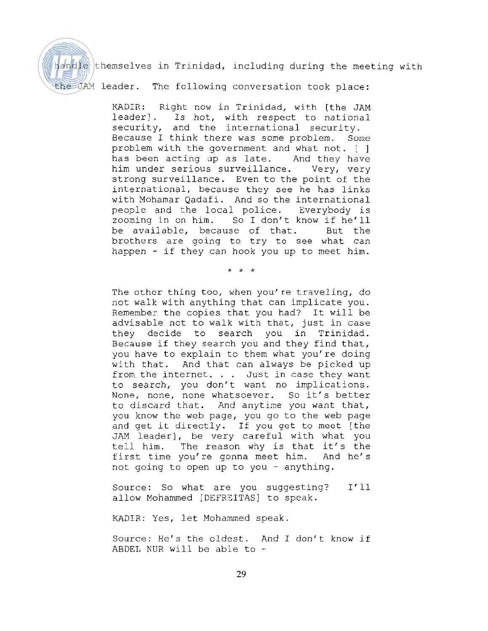

handle themselves in Trinidad, including during the meeting with

the JAM leader. The following conversation took place:

KADIR: Right now in Trinidad, with [the JAM<br>leader]. Is hot, with respect to national Is hot, with respect to national security, and the international security. Because I think there was some problem. Some problem with the government and what not. [ ] has been acting up as late. And they have him under serious surveillance. Very, very strong surveillance. Even to the point of the international, because they see he has links with Mohamar Qadafi. And so the international people and the local police. Everybody is<br>zooming in on him. So I don't know if he'll So I don't know if he'll be available, because of that. But the brothers are going to try to see what can happen - if they can hook you up to meet him.

 $* * *$ 

The other thing too, when you're traveling, do not walk with anything that can implicate you. Remember the copies that you had? It will be advisable not to walk with that, just in case they decide to search you in Trinidad. Because if they search you and they find that, you have to explain to them what you're doing with that. And that can always be picked up from the internet. . . Just in case they want to search, you don't want no implications. None, none, none whatsoever. So it's better to discard that. And anytime you want that, you know the web page, you go to the web page and get it directly. If you get to meet [the JAM leader], be very careful with what you tell him. The reason why is that it's the first time you're gonna meet him. And he's not going to open up to you - anything.

Source: So what are you suggesting? I'll allow Mohammed [DEFRZITAS] to speak.

KADIR: Yes, let Mohammed speak.

Source: He's the oldest. And I don't know if ABDEL NUR will be able to  $-$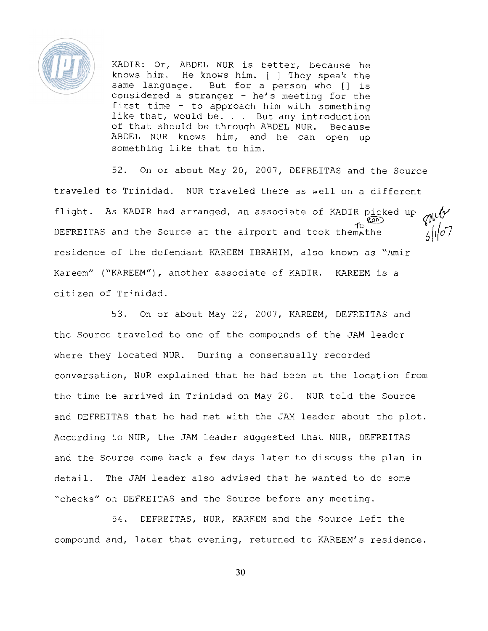

KADIR: Or, ABDEL NUR is better, because he knows him. He knows him. [ ] They speak the same language. But for a person who [] is considered a stranger - he's meeting for the first time - to approach him with something like that, would be. . . But any introduction of that should be through ABDEL NUR. Because ABDEL NUR knows him, and he can open up something like that to him.

52. On or about May 20, 2007, DEFREITAS and the Source traveled to Trinidad. NUR traveled there as well on a different flight. As KADIR had arranged, an associate of KADIR picked up  $\mathcal{I}_{\mathbb{C}}$  (20) DEFREITAS and the Source at the airport and took them the independent  $6/$ residence of the defendant KAREEM IBRAHIM, also known as "Amir Kareem" ("KAREEM"), another associate of KADIR. KAREEM is a citizen of Trinidad.

53. On or about May 22, 2007, KAREEM, DEFREITAS and the Source traveled to one of the compounds of the JAM leader where they located NUR. During a consensually recorded conversation, NUR explained that he had been at the location from the time he arrived in Trinidad on May 20. NUR told the Source and DEFREITAS that he had met with the JAM leader about the plot. According to NUR, the JAM leader suggested that NUR, DEFREITAS and the Source come back a few days later to discuss the plan in detail. The JAM leader also advised that he wanted to do some "checks" on DEFREITAS and the Source before any meeting.

54. DEFREITAS, NUR, KAREEM and the Source left the compound and, later that evening, returned to KAREEM's residence.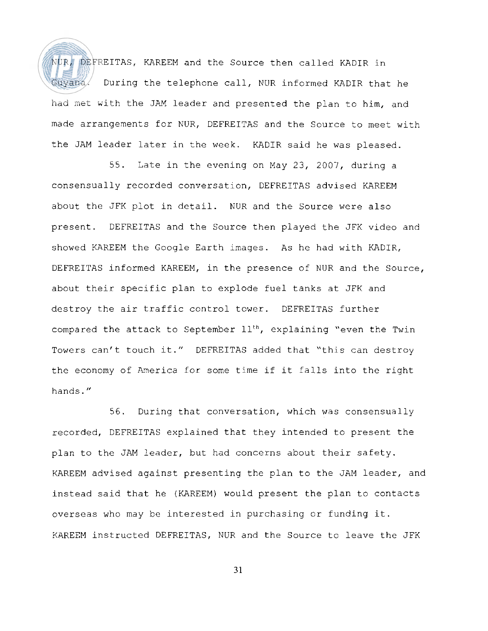NUR, DEFREITAS, KAREEM and the Source then called KADIR in Guyana. During the telephone call, NUR informed KADIR that he had met with the JAM leader and presented the plan to him, and made arrangements for NUR, DEFREITAS and the Source to meet with the JAM leader later in the week. KADIR said he was pleased.

55. Late in the evening on May 23, 2007, during a consensually recorded conversation, DEFREITAS advised KAREEM about the JFK plot in detail. NUR and the Source were also present. DEFREITAS and the Source then played the JFK video and showed KAREEM the Google Earth images. As he had with KADIR, DEFREITAS informed KAREEM, in the presence of NUR and the Source, about their specific plan to explode fuel tanks at JFK and destroy the air traffic control tower. DEFREITAS further compared the attack to September 11<sup>th</sup>, explaining "even the Twin Towers can't touch it." DEFREITAS added that "this can destroy the economy of America for some time if it falls into the right hands. "

56. During that conversation, which was consensually recorded, DEFREITAS explained that they intended to present the plan to the JAM leader, but had concerns about their safety. KAREEM advised against presenting the plan to the JAM leader, and instead said that he (KAREEM) would present the plan to contacts overseas who may be interested in purchasing or funding it. KAREEM instructed DEFREITAS, NUR and the Source to leave the JFK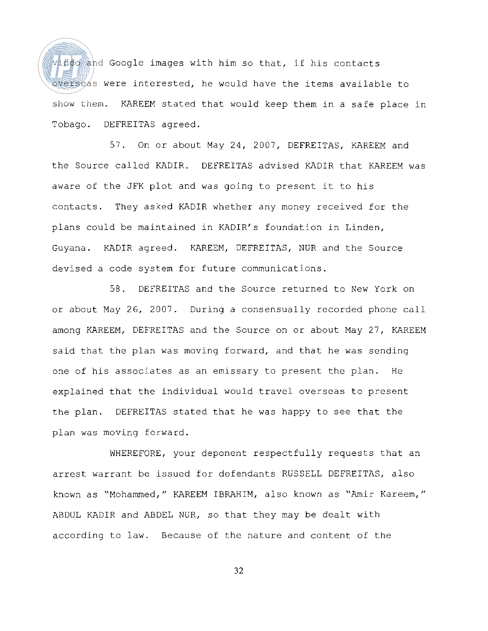video and Google images with him so that, if his contacts overseas were interested, he would have the items available to show them. KAREEM stated that would keep them in a safe place in Tobago. DEFREITAS agreed.

57. On or about May 24, 2007, DEFREITAS, KAREEM and the Source called KADIR. DEFREITAS advised KADIR that KAREEM was aware of the JFK plot and was going to present it to his contacts. They asked KADIR whether any money received for the plans could be maintained in KADIR's foundation in Linden, Guyana. KADIR agreed. KAREEM, DEFREITAS, NUR and the Source devised a code system for future communications.

58. DEFREITAS and the Source returned to New York on or about May 26, 2007. During a consensually recorded phone call among KAREEM, DEFREITAS and the Source on or about May 27, KAREEM said that the plan was moving forward, and that he was sending one of his associates as an emissary to present the plan. He explained that the individual would travel overseas to present the plan. DEFREITAS stated that he was happy to see that the plan was moving forward.

WHEREFORE, your deponent respectfully requests that an arrest warrant be issued for defendants RUSSELL DEFREITAS, also known as "Mohammed," KAREEM IBRAHIM, also known as "Amir Kareem," ABDUL KADIR and ABDEL NUR, so that they may be dealt with according to law. Because of the nature and content of the